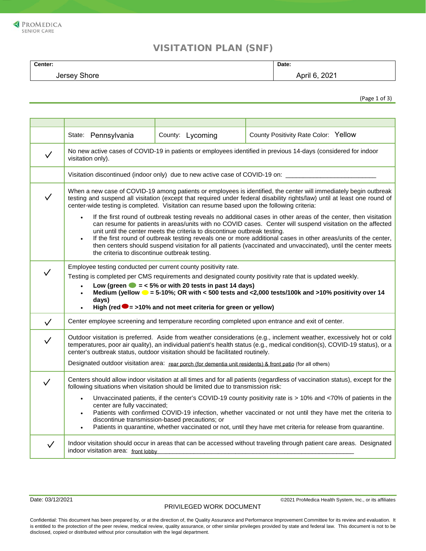

## VISITATION PLAN (SNF)

| Center:      | Date:         |
|--------------|---------------|
| Jersey Shore | April 6, 2021 |
|              |               |

(Page 1 of 3)

|              | State: Pennsylvania                                                                                                                                                                                                                                                                                                                                                                                                                                                                                                                                                                                                                                                                                                                                                                                                                                                                                                                                                        | County: Lycoming | County Positivity Rate Color: Yellow                                                                                  |  |
|--------------|----------------------------------------------------------------------------------------------------------------------------------------------------------------------------------------------------------------------------------------------------------------------------------------------------------------------------------------------------------------------------------------------------------------------------------------------------------------------------------------------------------------------------------------------------------------------------------------------------------------------------------------------------------------------------------------------------------------------------------------------------------------------------------------------------------------------------------------------------------------------------------------------------------------------------------------------------------------------------|------------------|-----------------------------------------------------------------------------------------------------------------------|--|
| $\checkmark$ | No new active cases of COVID-19 in patients or employees identified in previous 14-days (considered for indoor<br>visitation only).                                                                                                                                                                                                                                                                                                                                                                                                                                                                                                                                                                                                                                                                                                                                                                                                                                        |                  |                                                                                                                       |  |
|              | Visitation discontinued (indoor only) due to new active case of COVID-19 on: _______                                                                                                                                                                                                                                                                                                                                                                                                                                                                                                                                                                                                                                                                                                                                                                                                                                                                                       |                  |                                                                                                                       |  |
| $\checkmark$ | When a new case of COVID-19 among patients or employees is identified, the center will immediately begin outbreak<br>testing and suspend all visitation (except that required under federal disability rights/law) until at least one round of<br>center-wide testing is completed. Visitation can resume based upon the following criteria:<br>If the first round of outbreak testing reveals no additional cases in other areas of the center, then visitation<br>$\bullet$<br>can resume for patients in areas/units with no COVID cases. Center will suspend visitation on the affected<br>unit until the center meets the criteria to discontinue outbreak testing.<br>If the first round of outbreak testing reveals one or more additional cases in other areas/units of the center,<br>$\bullet$<br>then centers should suspend visitation for all patients (vaccinated and unvaccinated), until the center meets<br>the criteria to discontinue outbreak testing. |                  |                                                                                                                       |  |
|              | Employee testing conducted per current county positivity rate.<br>Testing is completed per CMS requirements and designated county positivity rate that is updated weekly.<br>Low (green $\bullet$ = < 5% or with 20 tests in past 14 days)<br>Medium (yellow $\bullet$ = 5-10%; OR with < 500 tests and <2,000 tests/100k and >10% positivity over 14<br>$\bullet$<br>days)<br>High (red $\bullet$ = >10% and not meet criteria for green or yellow)                                                                                                                                                                                                                                                                                                                                                                                                                                                                                                                       |                  |                                                                                                                       |  |
| $\checkmark$ |                                                                                                                                                                                                                                                                                                                                                                                                                                                                                                                                                                                                                                                                                                                                                                                                                                                                                                                                                                            |                  | Center employee screening and temperature recording completed upon entrance and exit of center.                       |  |
| $\checkmark$ | Outdoor visitation is preferred. Aside from weather considerations (e.g., inclement weather, excessively hot or cold<br>temperatures, poor air quality), an individual patient's health status (e.g., medical condition(s), COVID-19 status), or a<br>center's outbreak status, outdoor visitation should be facilitated routinely.<br>Designated outdoor visitation area: rear porch (for dementia unit residents) & front patio (for all others)                                                                                                                                                                                                                                                                                                                                                                                                                                                                                                                         |                  |                                                                                                                       |  |
|              | Centers should allow indoor visitation at all times and for all patients (regardless of vaccination status), except for the<br>following situations when visitation should be limited due to transmission risk:<br>Unvaccinated patients, if the center's COVID-19 county positivity rate is > 10% and <70% of patients in the<br>$\bullet$<br>center are fully vaccinated;<br>Patients with confirmed COVID-19 infection, whether vaccinated or not until they have met the criteria to<br>$\bullet$<br>discontinue transmission-based precautions; or<br>Patients in quarantine, whether vaccinated or not, until they have met criteria for release from quarantine.<br>$\bullet$                                                                                                                                                                                                                                                                                       |                  |                                                                                                                       |  |
| $\checkmark$ | indoor visitation area: front lobby                                                                                                                                                                                                                                                                                                                                                                                                                                                                                                                                                                                                                                                                                                                                                                                                                                                                                                                                        |                  | Indoor visitation should occur in areas that can be accessed without traveling through patient care areas. Designated |  |

Date: 03/12/2021 **Date: 03/12/2021 Date: 03/12/2021 CONFIDENTIAL CONFIDENTIAL CONFIDENTIAL CONFIDENTIAL CONFIDENTIAL CONFIDENTIAL CONFIDENTIAL CONFIDENTIAL CONFIDENTIAL CONFIDENTIAL CONFIDENTIAL CONFIDENTIAL CONFIDENTI** 

Confidential: This document has been prepared by, or at the direction of, the Quality Assurance and Performance Improvement Committee for its review and evaluation. It is entitled to the protection of the peer review, medical review, quality assurance, or other similar privileges provided by state and federal law. This document is not to be disclosed, copied or distributed without prior consultation with the legal department.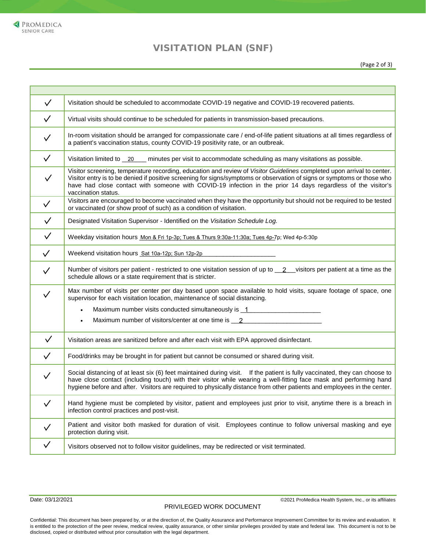## VISITATION PLAN (SNF)

| $\checkmark$ | Visitation should be scheduled to accommodate COVID-19 negative and COVID-19 recovered patients.                                                                                                                                                                                                                                                                                         |
|--------------|------------------------------------------------------------------------------------------------------------------------------------------------------------------------------------------------------------------------------------------------------------------------------------------------------------------------------------------------------------------------------------------|
| $\checkmark$ | Virtual visits should continue to be scheduled for patients in transmission-based precautions.                                                                                                                                                                                                                                                                                           |
| $\checkmark$ | In-room visitation should be arranged for compassionate care / end-of-life patient situations at all times regardless of<br>a patient's vaccination status, county COVID-19 positivity rate, or an outbreak.                                                                                                                                                                             |
| $\checkmark$ | Visitation limited to _20 __ minutes per visit to accommodate scheduling as many visitations as possible.                                                                                                                                                                                                                                                                                |
| $\checkmark$ | Visitor screening, temperature recording, education and review of Visitor Guidelines completed upon arrival to center.<br>Visitor entry is to be denied if positive screening for signs/symptoms or observation of signs or symptoms or those who<br>have had close contact with someone with COVID-19 infection in the prior 14 days regardless of the visitor's<br>vaccination status. |
| $\checkmark$ | Visitors are encouraged to become vaccinated when they have the opportunity but should not be required to be tested<br>or vaccinated (or show proof of such) as a condition of visitation.                                                                                                                                                                                               |
| $\checkmark$ | Designated Visitation Supervisor - Identified on the Visitation Schedule Log.                                                                                                                                                                                                                                                                                                            |
| $\checkmark$ | Weekday visitation hours Mon & Fri 1p-3p; Tues & Thurs 9:30a-11:30a; Tues 4p-7p; Wed 4p-5:30p                                                                                                                                                                                                                                                                                            |
| $\checkmark$ | Weekend visitation hours Sat 10a-12p; Sun 12p-2p _______________________________                                                                                                                                                                                                                                                                                                         |
| $\checkmark$ | Number of visitors per patient - restricted to one visitation session of up to _2_visitors per patient at a time as the<br>schedule allows or a state requirement that is stricter.                                                                                                                                                                                                      |
| $\checkmark$ | Max number of visits per center per day based upon space available to hold visits, square footage of space, one<br>supervisor for each visitation location, maintenance of social distancing.                                                                                                                                                                                            |
|              | Maximum number visits conducted simultaneously is 1 ____________________________                                                                                                                                                                                                                                                                                                         |
|              | Maximum number of visitors/center at one time is 2______________________________                                                                                                                                                                                                                                                                                                         |
| $\checkmark$ | Visitation areas are sanitized before and after each visit with EPA approved disinfectant.                                                                                                                                                                                                                                                                                               |
| $\checkmark$ | Food/drinks may be brought in for patient but cannot be consumed or shared during visit.                                                                                                                                                                                                                                                                                                 |
| $\checkmark$ | Social distancing of at least six (6) feet maintained during visit. If the patient is fully vaccinated, they can choose to<br>have close contact (including touch) with their visitor while wearing a well-fitting face mask and performing hand<br>hygiene before and after. Visitors are required to physically distance from other patients and employees in the center.              |
| $\checkmark$ | Hand hygiene must be completed by visitor, patient and employees just prior to visit, anytime there is a breach in<br>infection control practices and post-visit.                                                                                                                                                                                                                        |
| $\checkmark$ | Patient and visitor both masked for duration of visit. Employees continue to follow universal masking and eye<br>protection during visit.                                                                                                                                                                                                                                                |
| $\checkmark$ | Visitors observed not to follow visitor guidelines, may be redirected or visit terminated.                                                                                                                                                                                                                                                                                               |
|              |                                                                                                                                                                                                                                                                                                                                                                                          |

PRIVILEGED WORK DOCUMENT

Date: 03/12/2021 **Date: 03/12/2021 Date: 03/12/2021 CONFIDENTIAL CONFIDENTIAL CONFIDENTIAL CONFIDENTIAL CONFIDENTIAL CONFIDENTIAL CONFIDENTIAL CONFIDENTIAL CONFIDENTIAL CONFIDENTIAL CONFIDENTIAL CONFIDENTIAL CONFIDENTI** 

Confidential: This document has been prepared by, or at the direction of, the Quality Assurance and Performance Improvement Committee for its review and evaluation. It is entitled to the protection of the peer review, medical review, quality assurance, or other similar privileges provided by state and federal law. This document is not to be disclosed, copied or distributed without prior consultation with the legal department.